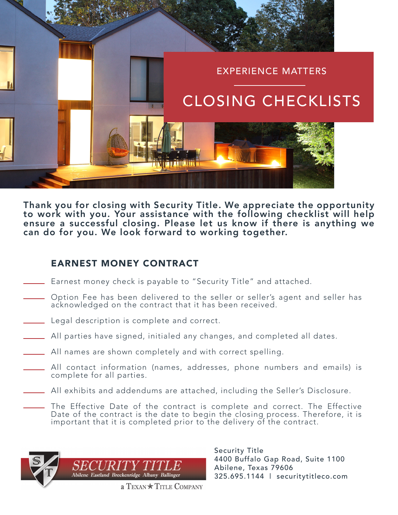

Thank you for closing with Security Title. We appreciate the opportunity to work with you. Your assistance with the following checklist will help ensure a successful closing. Please let us know if there is anything we can do for you. We look forward to working together.

# EARNEST MONEY CONTRACT

- Earnest money check is payable to "Security Title" and attached.
- Option Fee has been delivered to the seller or seller's agent and seller has acknowledged on the contract that it has been received.
- Legal description is complete and correct.
- All parties have signed, initialed any changes, and completed all dates.
- All names are shown completely and with correct spelling.
- All contact information (names, addresses, phone numbers and emails) is complete for all parties.
- All exhibits and addendums are attached, including the Seller's Disclosure.
	- The Effective Date of the contract is complete and correct. The Effective Date of the contract is the date to begin the closing process. Therefore, it is important that it is completed prior to the delivery of the contract.



Security Title 4400 Buffalo Gap Road, Suite 1100 Abilene, Texas 79606 325.695.1144 | securitytitleco.com

a TEXAN \* TITLE COMPANY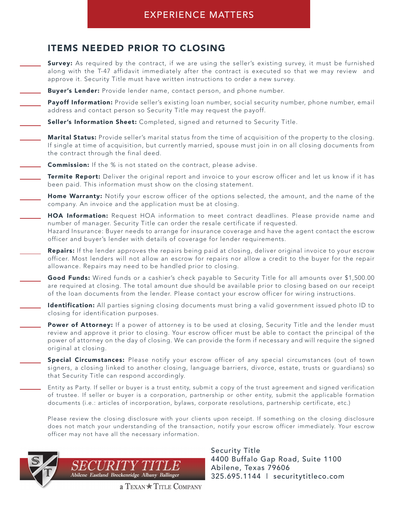#### EXPERIENCE MATTERS

#### ITEMS NEEDED PRIOR TO CLOSING

- **Survey:** As required by the contract, if we are using the seller's existing survey, it must be furnished along with the T-47 affidavit immediately after the contract is executed so that we may review and approve it. Security Title must have written instructions to order a new survey.
- Buyer's Lender: Provide lender name, contact person, and phone number.
- Payoff Information: Provide seller's existing loan number, social security number, phone number, email address and contact person so Security Title may request the payoff.
- Seller's Information Sheet: Completed, signed and returned to Security Title.
	- Marital Status: Provide seller's marital status from the time of acquisition of the property to the closing. If single at time of acquisition, but currently married, spouse must join in on all closing documents from the contract through the final deed.
- **Commission:** If the % is not stated on the contract, please advise.
	- **Termite Report:** Deliver the original report and invoice to your escrow officer and let us know if it has been paid. This information must show on the closing statement.
- Home Warranty: Notify your escrow officer of the options selected, the amount, and the name of the company. An invoice and the application must be at closing.
- HOA Information: Request HOA information to meet contract deadlines. Please provide name and number of manager. Security Title can order the resale certificate if requested. Hazard Insurance: Buyer needs to arrange for insurance coverage and have the agent contact the escrow officer and buyer's lender with details of coverage for lender requirements.
	- Repairs: If the lender approves the repairs being paid at closing, deliver original invoice to your escrow officer. Most lenders will not allow an escrow for repairs nor allow a credit to the buyer for the repair allowance. Repairs may need to be handled prior to closing.
	- Good Funds: Wired funds or a cashier's check payable to Security Title for all amounts over \$1,500.00 are required at closing. The total amount due should be available prior to closing based on our receipt of the loan documents from the lender. Please contact your escrow officer for wiring instructions.
- Identification: All parties signing closing documents must bring a valid government issued photo ID to closing for identification purposes.
	- Power of Attorney: If a power of attorney is to be used at closing, Security Title and the lender must review and approve it prior to closing. Your escrow officer must be able to contact the principal of the power of attorney on the day of closing. We can provide the form if necessary and will require the signed original at closing.
	- Special Circumstances: Please notify your escrow officer of any special circumstances (out of town signers, a closing linked to another closing, language barriers, divorce, estate, trusts or guardians) so that Security Title can respond accordingly.
	- Entity as Party. If seller or buyer is a trust entity, submit a copy of the trust agreement and signed verification of trustee. If seller or buyer is a corporation, partnership or other entity, submit the applicable formation documents (i.e.: articles of incorporation, bylaws, corporate resolutions, partnership certificate, etc.)
	- Please review the closing disclosure with your clients upon receipt. If something on the closing disclosure does not match your understanding of the transaction, notify your escrow officer immediately. Your escrow officer may not have all the necessary information.



Security Title 4400 Buffalo Gap Road, Suite 1100 Abilene, Texas 79606 325.695.1144 | securitytitleco.com

a TEXAN \* TITLE COMPANY